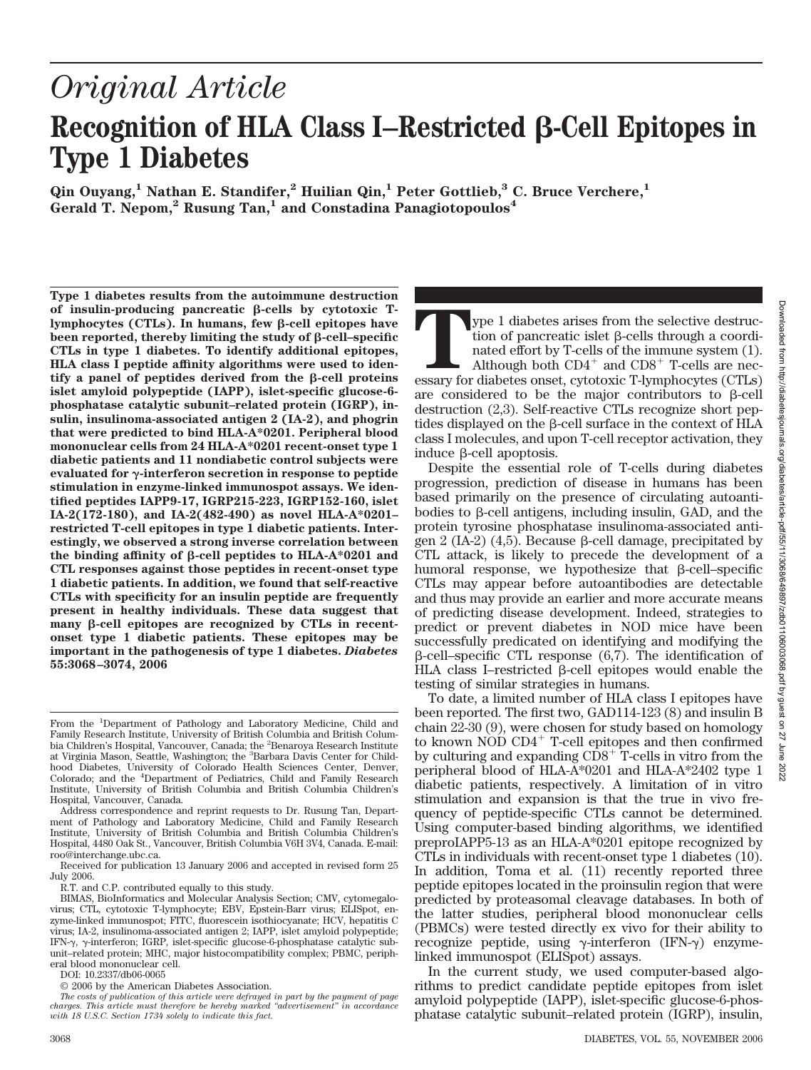# *Original Article* Recognition of HLA Class I–Restricted  $\beta$ -Cell Epitopes in **Type 1 Diabetes**

**Qin Ouyang,1 Nathan E. Standifer,2 Huilian Qin,1 Peter Gottlieb,3 C. Bruce Verchere,1** Gerald T. Nepom,<sup>2</sup> Rusung Tan,<sup>1</sup> and Constadina Panagiotopoulos<sup>4</sup>

**Type 1 diabetes results from the autoimmune destruction** of insulin-producing pancreatic  $\beta$ -cells by cytotoxic Tlymphocytes (CTLs). In humans, few β-cell epitopes have  $b$ een reported, thereby limiting the study of  $\beta$ -cell–specific **CTLs in type 1 diabetes. To identify additional epitopes, HLA class I peptide affinity algorithms were used to iden-** $\text{tfy}$  a panel of peptides derived from the  $\beta$ -cell proteins **islet amyloid polypeptide (IAPP), islet-specific glucose-6 phosphatase catalytic subunit–related protein (IGRP), insulin, insulinoma-associated antigen 2 (IA-2), and phogrin that were predicted to bind HLA-A\*0201. Peripheral blood mononuclear cells from 24 HLA-A\*0201 recent-onset type 1 diabetic patients and 11 nondiabetic control subjects were evaluated for γ-interferon secretion in response to peptide stimulation in enzyme-linked immunospot assays. We identified peptides IAPP9-17, IGRP215-223, IGRP152-160, islet IA-2(172-180), and IA-2(482-490) as novel HLA-A\*0201– restricted T-cell epitopes in type 1 diabetic patients. Interestingly, we observed a strong inverse correlation between the binding affinity of -cell peptides to HLA-A\*0201 and CTL responses against those peptides in recent-onset type 1 diabetic patients. In addition, we found that self-reactive CTLs with specificity for an insulin peptide are frequently present in healthy individuals. These data suggest that** many  $\beta$ -cell epitopes are recognized by CTLs in recent**onset type 1 diabetic patients. These epitopes may be important in the pathogenesis of type 1 diabetes.** *Diabetes* **55:3068–3074, 2006**

Address correspondence and reprint requests to Dr. Rusung Tan, Department of Pathology and Laboratory Medicine, Child and Family Research Institute, University of British Columbia and British Columbia Children's Hospital, 4480 Oak St., Vancouver, British Columbia V6H 3V4, Canada. E-mail: roo@interchange.ubc.ca.

Received for publication 13 January 2006 and accepted in revised form 25 July 2006.

R.T. and C.P. contributed equally to this study.

DOI: 10.2337/db06-0065

**Type 1** diabetes arises from the selective destruction of pancreatic islet  $\beta$ -cells through a coordinated effort by T-cells of the immune system (1).<br>Although both  $CD4^+$  and  $CD8^+$  T-cells are necessary for diabetes o tion of pancreatic islet  $\beta$ -cells through a coordinated effort by T-cells of the immune system (1). Although both  $CD4^+$  and  $CD8^+$  T-cells are necare considered to be the major contributors to  $\beta$ -cell destruction (2,3). Self-reactive CTLs recognize short peptides displayed on the  $\beta$ -cell surface in the context of HLA class I molecules, and upon T-cell receptor activation, they induce  $\beta$ -cell apoptosis.

Despite the essential role of T-cells during diabetes progression, prediction of disease in humans has been based primarily on the presence of circulating autoantibodies to  $\beta$ -cell antigens, including insulin, GAD, and the protein tyrosine phosphatase insulinoma-associated antigen 2 (IA-2) (4,5). Because  $\beta$ -cell damage, precipitated by CTL attack, is likely to precede the development of a humoral response, we hypothesize that  $\beta$ -cell–specific CTLs may appear before autoantibodies are detectable and thus may provide an earlier and more accurate means of predicting disease development. Indeed, strategies to predict or prevent diabetes in NOD mice have been successfully predicated on identifying and modifying the  $\beta$ -cell–specific CTL response (6,7). The identification of HLA class I–restricted  $\beta$ -cell epitopes would enable the testing of similar strategies in humans.

To date, a limited number of HLA class I epitopes have been reported. The first two, GAD114-123 (8) and insulin B chain 22-30 (9), were chosen for study based on homology to known NOD CD4- T-cell epitopes and then confirmed by culturing and expanding CD8<sup>+</sup> T-cells in vitro from the peripheral blood of HLA-A\*0201 and HLA-A\*2402 type 1 diabetic patients, respectively. A limitation of in vitro stimulation and expansion is that the true in vivo frequency of peptide-specific CTLs cannot be determined. Using computer-based binding algorithms, we identified preproIAPP5-13 as an HLA-A\*0201 epitope recognized by CTLs in individuals with recent-onset type 1 diabetes (10). In addition, Toma et al. (11) recently reported three peptide epitopes located in the proinsulin region that were predicted by proteasomal cleavage databases. In both of the latter studies, peripheral blood mononuclear cells (PBMCs) were tested directly ex vivo for their ability to recognize peptide, using  $\gamma$ -interferon (IFN- $\gamma$ ) enzymelinked immunospot (ELISpot) assays.

In the current study, we used computer-based algorithms to predict candidate peptide epitopes from islet amyloid polypeptide (IAPP), islet-specific glucose-6-phosphatase catalytic subunit–related protein (IGRP), insulin,

From the <sup>1</sup>Department of Pathology and Laboratory Medicine, Child and Family Research Institute, University of British Columbia and British Columbia Children's Hospital, Vancouver, Canada; the <sup>2</sup>Benaroya Research Institute<br>at Virginia Mason, Seattle, Washington; the <sup>3</sup>Barbara Davis Center for Childhood Diabetes, University of Colorado Health Sciences Center, Denver, Colorado; and the <sup>4</sup> Department of Pediatrics, Child and Family Research Institute, University of British Columbia and British Columbia Children's Hospital, Vancouver, Canada.

BIMAS, BioInformatics and Molecular Analysis Section; CMV, cytomegalovirus; CTL, cytotoxic T-lymphocyte; EBV, Epstein-Barr virus; ELISpot, enzyme-linked immunospot; FITC, fluorescein isothiocyanate; HCV, hepatitis C virus; IA-2, insulinoma-associated antigen 2; IAPP, islet amyloid polypeptide; IFN- $\gamma$ ,  $\gamma$ -interferon; IGRP, islet-specific glucose-6-phosphatase catalytic subunit–related protein; MHC, major histocompatibility complex; PBMC, peripheral blood mononuclear cell.

<sup>© 2006</sup> by the American Diabetes Association.

*The costs of publication of this article were defrayed in part by the payment of page charges. This article must therefore be hereby marked "advertisement" in accordance with 18 U.S.C. Section 1734 solely to indicate this fact.*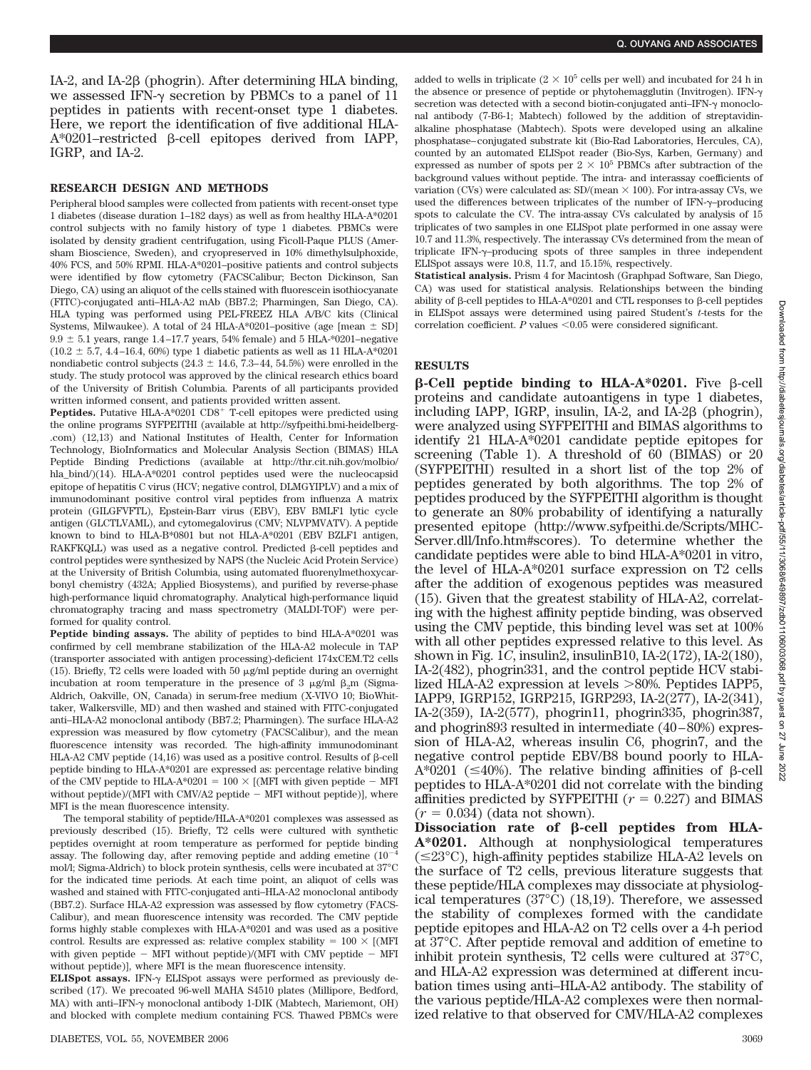IA-2, and IA-2 $\beta$  (phogrin). After determining HLA binding, we assessed IFN- $\gamma$  secretion by PBMCs to a panel of 11 peptides in patients with recent-onset type 1 diabetes. Here, we report the identification of five additional HLA- $A*0201$ –restricted  $\beta$ -cell epitopes derived from IAPP, IGRP, and IA-2.

#### **RESEARCH DESIGN AND METHODS**

Peripheral blood samples were collected from patients with recent-onset type 1 diabetes (disease duration 1–182 days) as well as from healthy HLA-A\*0201 control subjects with no family history of type 1 diabetes. PBMCs were isolated by density gradient centrifugation, using Ficoll-Paque PLUS (Amersham Bioscience, Sweden), and cryopreserved in 10% dimethylsulphoxide, 40% FCS, and 50% RPMI. HLA-A\*0201–positive patients and control subjects were identified by flow cytometry (FACSCalibur; Becton Dickinson, San Diego, CA) using an aliquot of the cells stained with fluorescein isothiocyanate (FITC)-conjugated anti–HLA-A2 mAb (BB7.2; Pharmingen, San Diego, CA). HLA typing was performed using PEL-FREEZ HLA A/B/C kits (Clinical Systems, Milwaukee). A total of 24 HLA-A\*0201–positive (age [mean  $\pm$  SD]  $9.9 \pm 5.1$  years, range 1.4–17.7 years, 54% female) and 5 HLA-\*0201–negative  $(10.2 \pm 5.7, 4.4 - 16.4, 60%)$  type 1 diabetic patients as well as 11 HLA-A\*0201 nondiabetic control subjects ( $24.3 \pm 14.6$ ,  $7.3-44$ ,  $54.5%$ ) were enrolled in the study. The study protocol was approved by the clinical research ethics board of the University of British Columbia. Parents of all participants provided written informed consent, and patients provided written assent.

Peptides. Putative HLA-A\*0201 CD8<sup>+</sup> T-cell epitopes were predicted using the online programs SYFPEITHI (available at http://syfpeithi.bmi-heidelberg- .com) (12,13) and National Institutes of Health, Center for Information Technology, BioInformatics and Molecular Analysis Section (BIMAS) HLA Peptide Binding Predictions (available at http://thr.cit.nih.gov/molbio/ hla\_bind/)(14). HLA-A\*0201 control peptides used were the nucleocapsid epitope of hepatitis C virus (HCV; negative control, DLMGYIPLV) and a mix of immunodominant positive control viral peptides from influenza A matrix protein (GILGFVFTL), Epstein-Barr virus (EBV), EBV BMLF1 lytic cycle antigen (GLCTLVAML), and cytomegalovirus (CMV; NLVPMVATV). A peptide known to bind to HLA-B\*0801 but not HLA-A\*0201 (EBV BZLF1 antigen,  $RAKFKQLL)$  was used as a negative control. Predicted  $\beta$ -cell peptides and control peptides were synthesized by NAPS (the Nucleic Acid Protein Service) at the University of British Columbia, using automated fluorenylmethoxycarbonyl chemistry (432A; Applied Biosystems), and purified by reverse-phase high-performance liquid chromatography. Analytical high-performance liquid chromatography tracing and mass spectrometry (MALDI-TOF) were performed for quality control.

**Peptide binding assays.** The ability of peptides to bind HLA-A\*0201 was confirmed by cell membrane stabilization of the HLA-A2 molecule in TAP (transporter associated with antigen processing)-deficient 174xCEM.T2 cells (15). Briefly, T2 cells were loaded with 50  $\mu$ g/ml peptide during an overnight incubation at room temperature in the presence of 3  $\mu$ g/ml  $\beta_2$ m (Sigma-Aldrich, Oakville, ON, Canada) in serum-free medium (X-VIVO 10; BioWhittaker, Walkersville, MD) and then washed and stained with FITC-conjugated anti–HLA-A2 monoclonal antibody (BB7.2; Pharmingen). The surface HLA-A2 expression was measured by flow cytometry (FACSCalibur), and the mean fluorescence intensity was recorded. The high-affinity immunodominant HLA-A2 CMV peptide  $(14,16)$  was used as a positive control. Results of  $\beta$ -cell peptide binding to HLA-A\*0201 are expressed as: percentage relative binding of the CMV peptide to HLA-A\*0201 =  $100 \times$  [(MFI with given peptide - MFI without peptide)/(MFI with CMV/A2 peptide  $-$  MFI without peptide)], where MFI is the mean fluorescence intensity.

The temporal stability of peptide/HLA-A\*0201 complexes was assessed as previously described (15). Briefly, T2 cells were cultured with synthetic peptides overnight at room temperature as performed for peptide binding assay. The following day, after removing peptide and adding emetine  $(10^{-1}$ mol/l; Sigma-Aldrich) to block protein synthesis, cells were incubated at 37°C for the indicated time periods. At each time point, an aliquot of cells was washed and stained with FITC-conjugated anti–HLA-A2 monoclonal antibody (BB7.2). Surface HLA-A2 expression was assessed by flow cytometry (FACS-Calibur), and mean fluorescence intensity was recorded. The CMV peptide forms highly stable complexes with HLA-A\*0201 and was used as a positive control. Results are expressed as: relative complex stability  $= 100 \times$  [(MFI)] with given peptide  $-$  MFI without peptide)/(MFI with CMV peptide  $-$  MFI without peptide)], where MFI is the mean fluorescence intensity.

**ELISpot assays.** IFN- $\gamma$  ELISpot assays were performed as previously described (17). We precoated 96-well MAHA S4510 plates (Millipore, Bedford, MA) with anti-IFN- $\gamma$  monoclonal antibody 1-DIK (Mabtech, Mariemont, OH) and blocked with complete medium containing FCS. Thawed PBMCs were added to wells in triplicate ( $2 \times 10^5$  cells per well) and incubated for 24 h in the absence or presence of peptide or phytohemagglutin (Invitrogen). IFN secretion was detected with a second biotin-conjugated anti-IFN- $\gamma$  monoclonal antibody (7-B6-1; Mabtech) followed by the addition of streptavidinalkaline phosphatase (Mabtech). Spots were developed using an alkaline phosphatase–conjugated substrate kit (Bio-Rad Laboratories, Hercules, CA), counted by an automated ELISpot reader (Bio-Sys, Karben, Germany) and expressed as number of spots per  $2 \times 10^5$  PBMCs after subtraction of the background values without peptide. The intra- and interassay coefficients of variation (CVs) were calculated as:  $SD/(mean \times 100)$ . For intra-assay CVs, we used the differences between triplicates of the number of  $IFN-\gamma$ –producing spots to calculate the CV. The intra-assay CVs calculated by analysis of 15 triplicates of two samples in one ELISpot plate performed in one assay were 10.7 and 11.3%, respectively. The interassay CVs determined from the mean of triplicate IFN- $\gamma$ -producing spots of three samples in three independent ELISpot assays were 10.8, 11.7, and 15.15%, respectively.

**Statistical analysis.** Prism 4 for Macintosh (Graphpad Software, San Diego, CA) was used for statistical analysis. Relationships between the binding ability of  $\beta$ -cell peptides to HLA-A\*0201 and CTL responses to  $\beta$ -cell peptides in ELISpot assays were determined using paired Student's *t*-tests for the correlation coefficient.  $P$  values  $\leq 0.05$  were considered significant.

# **RESULTS**

 $\beta$ -Cell peptide binding to HLA-A\*0201. Five  $\beta$ -cell proteins and candidate autoantigens in type 1 diabetes, including IAPP, IGRP, insulin, IA-2, and IA-2 $\beta$  (phogrin), were analyzed using SYFPEITHI and BIMAS algorithms to identify 21 HLA-A\*0201 candidate peptide epitopes for screening (Table 1). A threshold of 60 (BIMAS) or 20 (SYFPEITHI) resulted in a short list of the top 2% of peptides generated by both algorithms. The top 2% of peptides produced by the SYFPEITHI algorithm is thought to generate an 80% probability of identifying a naturally presented epitope (http://www.syfpeithi.de/Scripts/MHC-Server.dll/Info.htm#scores). To determine whether the candidate peptides were able to bind HLA-A\*0201 in vitro, the level of HLA-A\*0201 surface expression on T2 cells after the addition of exogenous peptides was measured (15). Given that the greatest stability of HLA-A2, correlating with the highest affinity peptide binding, was observed using the CMV peptide, this binding level was set at 100% with all other peptides expressed relative to this level. As shown in Fig. 1*C*, insulin2, insulinB10, IA-2(172), IA-2(180), IA-2(482), phogrin331, and the control peptide HCV stabilized HLA-A2 expression at levels 80%. Peptides IAPP5, IAPP9, IGRP152, IGRP215, IGRP293, IA-2(277), IA-2(341), IA-2(359), IA-2(577), phogrin11, phogrin335, phogrin387, and phogrin893 resulted in intermediate (40–80%) expression of HLA-A2, whereas insulin C6, phogrin7, and the negative control peptide EBV/B8 bound poorly to HLA- $A*0201$  ( $\leq 40\%$ ). The relative binding affinities of  $\beta$ -cell peptides to HLA-A\*0201 did not correlate with the binding affinities predicted by SYFPEITHI  $(r = 0.227)$  and BIMAS  $(r = 0.034)$  (data not shown).

Dissociation rate of  $\beta$ -cell peptides from HLA-**A\*0201.** Although at nonphysiological temperatures  $(\leq 23^{\circ}C)$ , high-affinity peptides stabilize HLA-A2 levels on the surface of T2 cells, previous literature suggests that these peptide/HLA complexes may dissociate at physiological temperatures (37°C) (18,19). Therefore, we assessed the stability of complexes formed with the candidate peptide epitopes and HLA-A2 on T2 cells over a 4-h period at 37°C. After peptide removal and addition of emetine to inhibit protein synthesis, T2 cells were cultured at 37°C, and HLA-A2 expression was determined at different incubation times using anti–HLA-A2 antibody. The stability of the various peptide/HLA-A2 complexes were then normalized relative to that observed for CMV/HLA-A2 complexes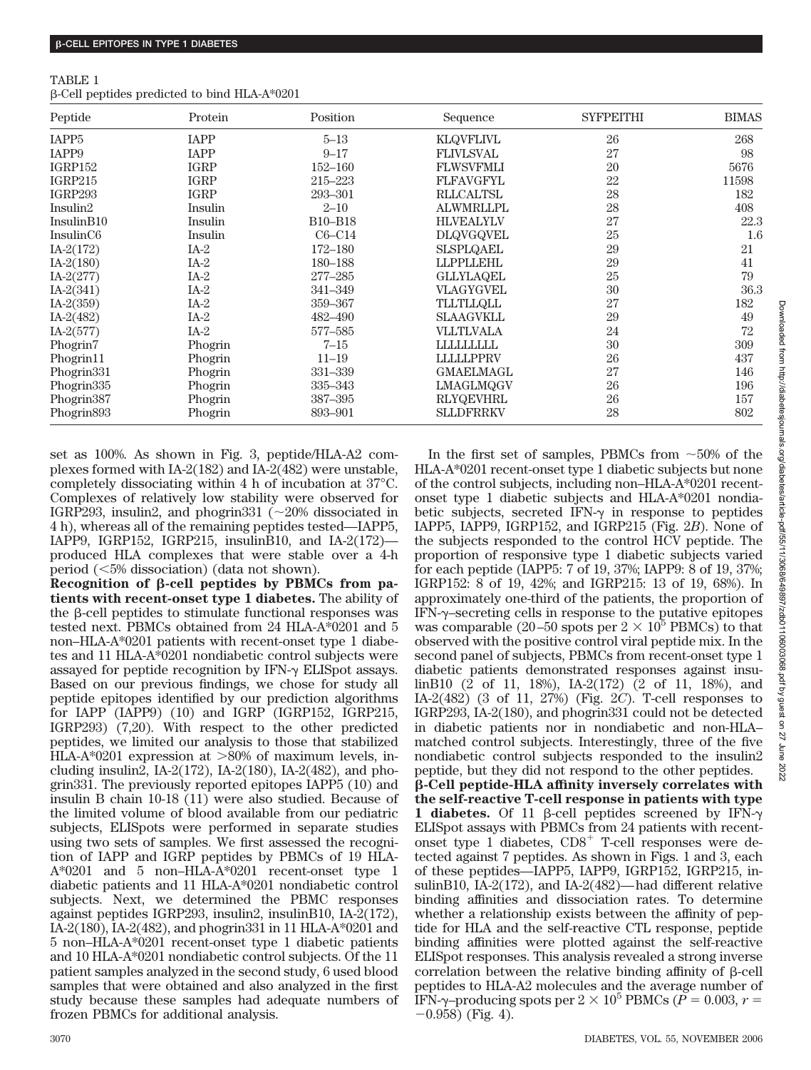| TABLE 1                                             |  |  |  |
|-----------------------------------------------------|--|--|--|
| $\beta$ -Cell peptides predicted to bind HLA-A*0201 |  |  |  |

| Peptide                | Protein     | Position    | Sequence         | <b>SYFPEITHI</b> | <b>BIMAS</b> |
|------------------------|-------------|-------------|------------------|------------------|--------------|
| IAPP <sub>5</sub>      | <b>IAPP</b> | $5 - 13$    | <b>KLQVFLIVL</b> | 26               | 268          |
| IAPP9                  | <b>IAPP</b> | $9 - 17$    | <b>FLIVLSVAL</b> | 27               | 98           |
| IGRP152                | <b>IGRP</b> | $152 - 160$ | <b>FLWSVFMLI</b> | 20               | 5676         |
| IGRP215                | <b>IGRP</b> | 215-223     | <b>FLFAVGFYL</b> | 22               | 11598        |
| <b>IGRP293</b>         | <b>IGRP</b> | 293-301     | <b>RLLCALTSL</b> | 28               | 182          |
| Insulin2               | Insulin     | $2 - 10$    | <b>ALWMRLLPL</b> | 28               | 408          |
| InsulinB10             | Insulin     | B10-B18     | <b>HLVEALYLV</b> | 27               | 22.3         |
| InsulinC <sub>6</sub>  | Insulin     | $C6-C14$    | <b>DLQVGQVEL</b> | 25               | 1.6          |
| $IA-2(172)$            | $IA-2$      | $172 - 180$ | <b>SLSPLQAEL</b> | 29               | 21           |
| $IA-2(180)$            | $IA-2$      | 180-188     | <b>LLPPLLEHL</b> | 29               | 41           |
| $IA-2(277)$            | $IA-2$      | 277-285     | <b>GLLYLAQEL</b> | 25               | 79           |
| $IA-2(341)$            | $IA-2$      | 341-349     | <b>VLAGYGVEL</b> | 30               | 36.3         |
| $IA-2(359)$            | $IA-2$      | 359-367     | <b>TLLTLLQLL</b> | 27               | 182          |
| $IA-2(482)$            | $IA-2$      | 482-490     | <b>SLAAGVKLL</b> | 29               | 49           |
| $IA-2(577)$            | $IA-2$      | 577-585     | <b>VLLTLVALA</b> | 24               | 72           |
| Phogrin7               | Phogrin     | $7 - 15$    | LLLLLLLLL        | 30               | 309          |
| Phogrin11              | Phogrin     | $11 - 19$   | <b>LLLLLPPRV</b> | 26               | 437          |
| Phogrin331             | Phogrin     | 331-339     | <b>GMAELMAGL</b> | 27               | 146          |
| Phogrin335             | Phogrin     | 335–343     | LMAGLMQGV        | 26               | 196          |
| Phogrin387             | Phogrin     | 387-395     | <b>RLYQEVHRL</b> | 26               | 157          |
| Phogrin <sub>893</sub> | Phogrin     | 893-901     | <b>SLLDFRRKV</b> | 28               | 802          |

set as 100%. As shown in Fig. 3, peptide/HLA-A2 complexes formed with IA-2(182) and IA-2(482) were unstable, completely dissociating within 4 h of incubation at 37°C. Complexes of relatively low stability were observed for IGRP293, insulin2, and phogrin331 ( $\sim$ 20% dissociated in 4 h), whereas all of the remaining peptides tested—IAPP5, IAPP9, IGRP152, IGRP215, insulinB10, and IA-2(172) produced HLA complexes that were stable over a 4-h period  $(\leq 5\%$  dissociation) (data not shown).

Recognition of  $\beta$ -cell peptides by PBMCs from pa**tients with recent-onset type 1 diabetes.** The ability of the  $\beta$ -cell peptides to stimulate functional responses was tested next. PBMCs obtained from 24 HLA-A\*0201 and 5 non–HLA-A\*0201 patients with recent-onset type 1 diabetes and 11 HLA-A\*0201 nondiabetic control subjects were assayed for peptide recognition by  $IFN-\gamma$  ELISpot assays. Based on our previous findings, we chose for study all peptide epitopes identified by our prediction algorithms for IAPP (IAPP9) (10) and IGRP (IGRP152, IGRP215, IGRP293) (7,20). With respect to the other predicted peptides, we limited our analysis to those that stabilized HLA-A\*0201 expression at 80% of maximum levels, including insulin2, IA-2(172), IA-2(180), IA-2(482), and phogrin331. The previously reported epitopes IAPP5 (10) and insulin B chain 10-18 (11) were also studied. Because of the limited volume of blood available from our pediatric subjects, ELISpots were performed in separate studies using two sets of samples. We first assessed the recognition of IAPP and IGRP peptides by PBMCs of 19 HLA-A\*0201 and 5 non–HLA-A\*0201 recent-onset type 1 diabetic patients and 11 HLA-A\*0201 nondiabetic control subjects. Next, we determined the PBMC responses against peptides IGRP293, insulin2, insulinB10, IA-2(172), IA-2(180), IA-2(482), and phogrin331 in 11 HLA-A\*0201 and 5 non–HLA-A\*0201 recent-onset type 1 diabetic patients and 10 HLA-A\*0201 nondiabetic control subjects. Of the 11 patient samples analyzed in the second study, 6 used blood samples that were obtained and also analyzed in the first study because these samples had adequate numbers of frozen PBMCs for additional analysis.

of the control subjects, including non–HLA-A\*0201 recentonset type 1 diabetic subjects and HLA-A\*0201 nondiabetic subjects, secreted IFN- $\gamma$  in response to peptides IAPP5, IAPP9, IGRP152, and IGRP215 (Fig. 2*B*). None of the subjects responded to the control HCV peptide. The proportion of responsive type 1 diabetic subjects varied for each peptide (IAPP5: 7 of 19, 37%; IAPP9: 8 of 19, 37%; IGRP152: 8 of 19, 42%; and IGRP215: 13 of 19, 68%). In approximately one-third of the patients, the proportion of IFN-γ-secreting cells in response to the putative epitopes was comparable (20–50 spots per  $2 \times 10^5$  PBMCs) to that observed with the positive control viral peptide mix. In the second panel of subjects, PBMCs from recent-onset type 1 diabetic patients demonstrated responses against insulinB10 (2 of 11, 18%), IA-2(172) (2 of 11, 18%), and IA-2(482) (3 of 11, 27%) (Fig. 2*C*). T-cell responses to IGRP293, IA-2(180), and phogrin331 could not be detected in diabetic patients nor in nondiabetic and non-HLA– matched control subjects. Interestingly, three of the five nondiabetic control subjects responded to the insulin2 peptide, but they did not respond to the other peptides. **-Cell peptide-HLA affinity inversely correlates with the self-reactive T-cell response in patients with type 1 diabetes.** Of 11  $\beta$ -cell peptides screened by IFN- $\gamma$ ELISpot assays with PBMCs from 24 patients with recentonset type 1 diabetes, CD8<sup>+</sup> T-cell responses were detected against 7 peptides. As shown in Figs. 1 and 3, each of these peptides—IAPP5, IAPP9, IGRP152, IGRP215, insulinB10, IA-2(172), and IA-2(482)—had different relative binding affinities and dissociation rates. To determine whether a relationship exists between the affinity of peptide for HLA and the self-reactive CTL response, peptide binding affinities were plotted against the self-reactive ELISpot responses. This analysis revealed a strong inverse correlation between the relative binding affinity of  $\beta$ -cell peptides to HLA-A2 molecules and the average number of IFN- $\gamma$ -producing spots per 2  $\times$  10<sup>5</sup> PBMCs ( $\dot{P}$  = 0.003,  $r$  =  $-0.958$ ) (Fig. 4).

In the first set of samples, PBMCs from  $\sim$ 50% of the HLA-A\*0201 recent-onset type 1 diabetic subjects but none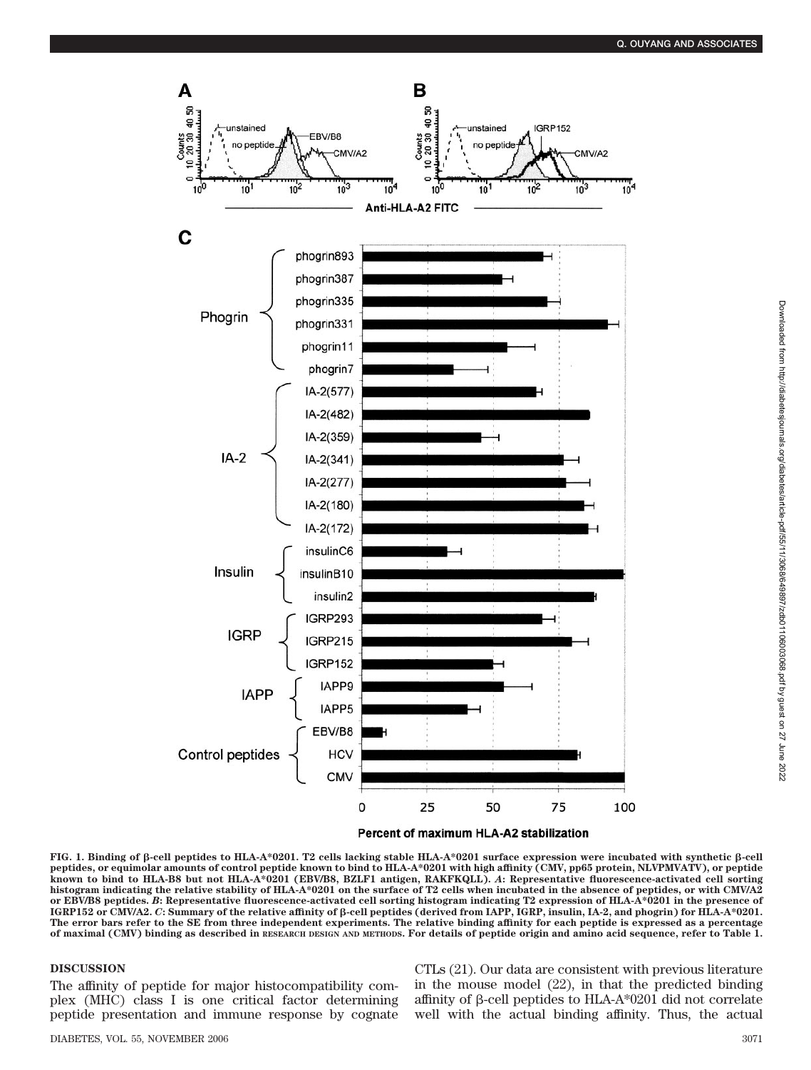

Percent of maximum HLA-A2 stabilization

**FIG. 1. Binding of -cell peptides to HLA-A\*0201. T2 cells lacking stable HLA-A\*0201 surface expression were incubated with synthetic -cell peptides, or equimolar amounts of control peptide known to bind to HLA-A\*0201 with high affinity (CMV, pp65 protein, NLVPMVATV), or peptide known to bind to HLA-B8 but not HLA-A\*0201 (EBV/B8, BZLF1 antigen, RAKFKQLL).** *A***: Representative fluorescence-activated cell sorting histogram indicating the relative stability of HLA-A\*0201 on the surface of T2 cells when incubated in the absence of peptides, or with CMV/A2 or EBV/B8 peptides.** *B***: Representative fluorescence-activated cell sorting histogram indicating T2 expression of HLA-A\*0201 in the presence of IGRP152 or CMV/A2.** *C***: Summary of the relative affinity of -cell peptides (derived from IAPP, IGRP, insulin, IA-2, and phogrin) for HLA-A\*0201. The error bars refer to the SE from three independent experiments. The relative binding affinity for each peptide is expressed as a percentage of maximal (CMV) binding as described in RESEARCH DESIGN AND METHODS. For details of peptide origin and amino acid sequence, refer to Table 1.**

## **DISCUSSION**

The affinity of peptide for major histocompatibility complex (MHC) class I is one critical factor determining peptide presentation and immune response by cognate

CTLs (21). Our data are consistent with previous literature in the mouse model (22), in that the predicted binding affinity of  $\beta$ -cell peptides to HLA-A\*0201 did not correlate well with the actual binding affinity. Thus, the actual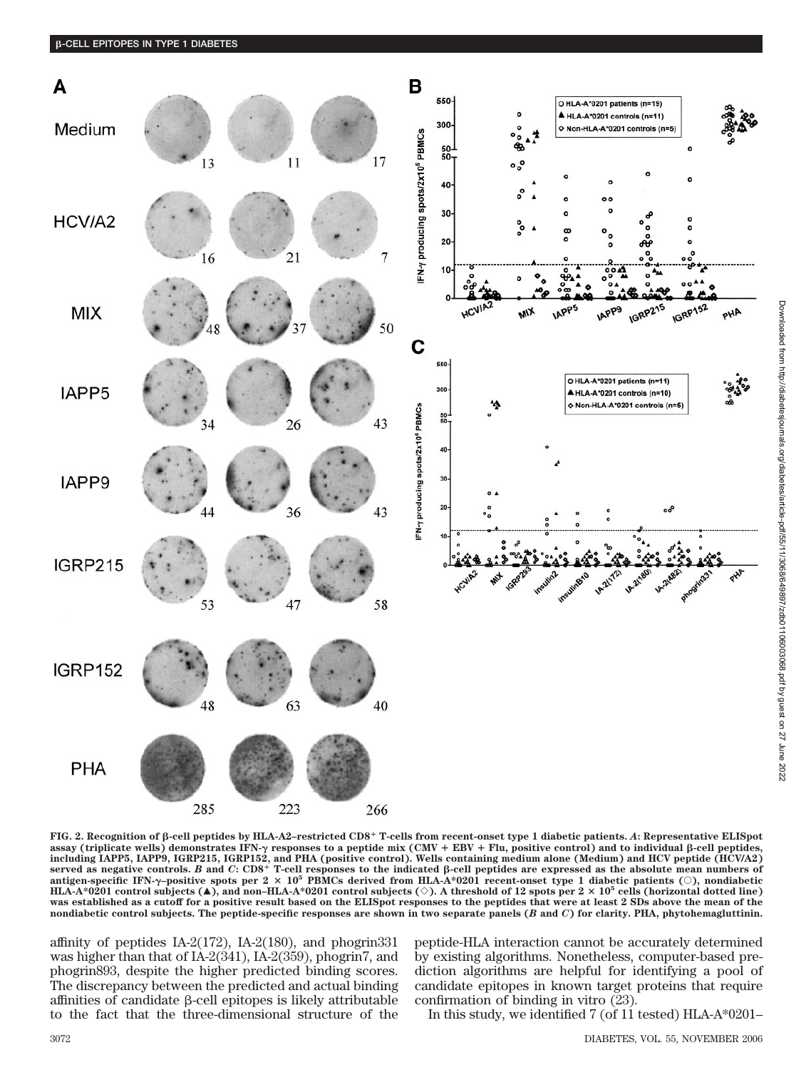

**FIG. 2. Recognition of -cell peptides by HLA-A2–restricted CD8 T-cells from recent-onset type 1 diabetic patients.** *A***: Representative ELISpot assay (triplicate wells) demonstrates IFN-**- **responses to a peptide mix (CMV EBV Flu, positive control) and to individual -cell peptides,** including IAPP5, IAPP9, IGRP215, IGRP152, and PHA (positive control). Wells containing medium alone (Medium) and HCV peptide (HCV/A2)<br>served as negative controls. *B* and *C*: CD8<sup>+</sup> T-cell responses to the indicated β-ce HLA-A\*0201 control subjects ( $\blacktriangle$ ), and non–HLA-A\*0201 control subjects ( $\diamond$ ). A threshold of 12 spots per 2  $\times$  10<sup>5</sup> cells (horizontal dotted line) **was established as a cutoff for a positive result based on the ELISpot responses to the peptides that were at least 2 SDs above the mean of the nondiabetic control subjects. The peptide-specific responses are shown in two separate panels (***B* **and** *C***) for clarity. PHA, phytohemagluttinin.**

affinity of peptides IA-2(172), IA-2(180), and phogrin331 was higher than that of IA-2(341), IA-2(359), phogrin7, and phogrin893, despite the higher predicted binding scores. The discrepancy between the predicted and actual binding affinities of candidate  $\beta$ -cell epitopes is likely attributable to the fact that the three-dimensional structure of the

peptide-HLA interaction cannot be accurately determined by existing algorithms. Nonetheless, computer-based prediction algorithms are helpful for identifying a pool of candidate epitopes in known target proteins that require confirmation of binding in vitro (23).

In this study, we identified 7 (of 11 tested) HLA-A\*0201–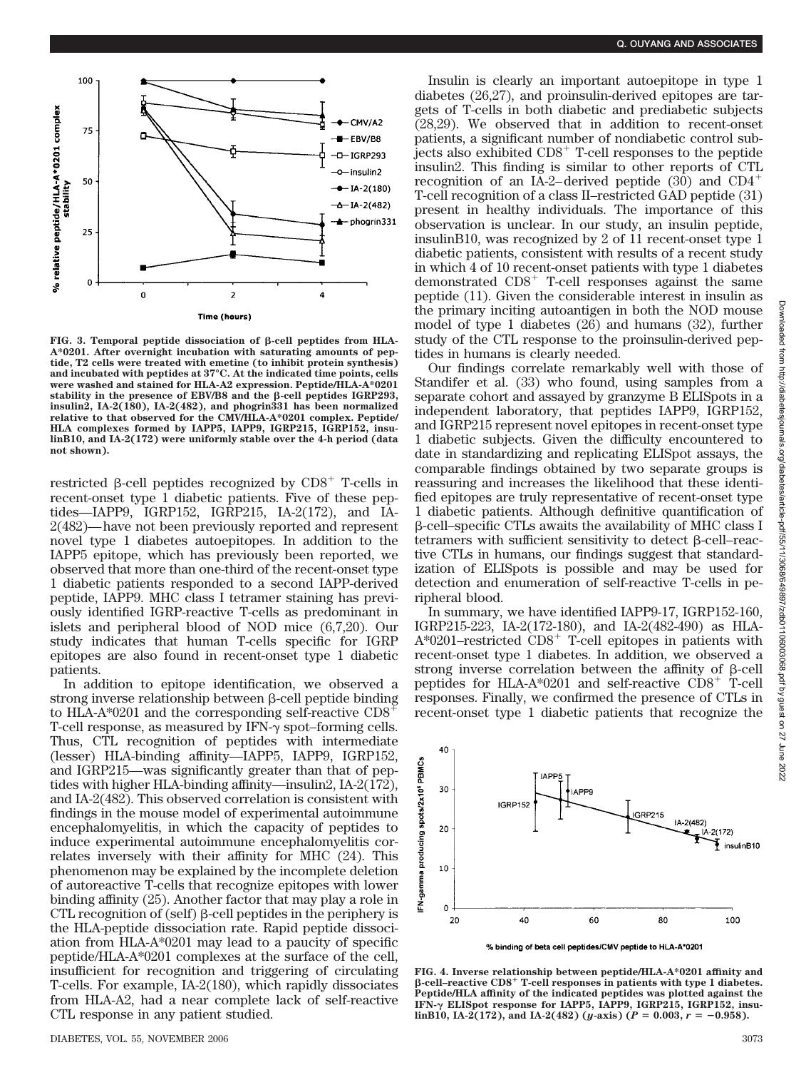

**FIG.** 3. Temporal peptide dissociation of β-cell peptides from HLA-**A\*0201. After overnight incubation with saturating amounts of peptide, T2 cells were treated with emetine (to inhibit protein synthesis) and incubated with peptides at 37°C. At the indicated time points, cells were washed and stained for HLA-A2 expression. Peptide/HLA-A\*0201** stability in the presence of EBV/B8 and the β-cell peptides IGRP293, **insulin2, IA-2(180), IA-2(482), and phogrin331 has been normalized relative to that observed for the CMV/HLA-A\*0201 complex. Peptide/ HLA complexes formed by IAPP5, IAPP9, IGRP215, IGRP152, insulinB10, and IA-2(172) were uniformly stable over the 4-h period (data not shown).**

restricted  $\beta$ -cell peptides recognized by  $CDS^+$  T-cells in recent-onset type 1 diabetic patients. Five of these peptides—IAPP9, IGRP152, IGRP215, IA-2(172), and IA-2(482)—have not been previously reported and represent novel type 1 diabetes autoepitopes. In addition to the IAPP5 epitope, which has previously been reported, we observed that more than one-third of the recent-onset type 1 diabetic patients responded to a second IAPP-derived peptide, IAPP9. MHC class I tetramer staining has previously identified IGRP-reactive T-cells as predominant in islets and peripheral blood of NOD mice (6,7,20). Our study indicates that human T-cells specific for IGRP epitopes are also found in recent-onset type 1 diabetic patients.

In addition to epitope identification, we observed a strong inverse relationship between  $\beta$ -cell peptide binding to HLA-A\*0201 and the corresponding self-reactive  $CD8^+$ T-cell response, as measured by  $IFN-\gamma$  spot–forming cells. Thus, CTL recognition of peptides with intermediate (lesser) HLA-binding affinity—IAPP5, IAPP9, IGRP152, and IGRP215—was significantly greater than that of peptides with higher HLA-binding affinity—insulin2, IA-2(172), and IA-2(482). This observed correlation is consistent with findings in the mouse model of experimental autoimmune encephalomyelitis, in which the capacity of peptides to induce experimental autoimmune encephalomyelitis correlates inversely with their affinity for MHC (24). This phenomenon may be explained by the incomplete deletion of autoreactive T-cells that recognize epitopes with lower binding affinity (25). Another factor that may play a role in CTL recognition of (self)  $\beta$ -cell peptides in the periphery is the HLA-peptide dissociation rate. Rapid peptide dissociation from HLA-A\*0201 may lead to a paucity of specific peptide/HLA-A\*0201 complexes at the surface of the cell, insufficient for recognition and triggering of circulating T-cells. For example, IA-2(180), which rapidly dissociates from HLA-A2, had a near complete lack of self-reactive CTL response in any patient studied.

Insulin is clearly an important autoepitope in type 1 diabetes (26,27), and proinsulin-derived epitopes are targets of T-cells in both diabetic and prediabetic subjects (28,29). We observed that in addition to recent-onset patients, a significant number of nondiabetic control sub- $\frac{1}{2}$  jects also exhibited CD8<sup>+</sup> T-cell responses to the peptide insulin2. This finding is similar to other reports of CTL recognition of an IA-2–derived peptide  $(30)$  and CD4<sup>+</sup> T-cell recognition of a class II–restricted GAD peptide (31) present in healthy individuals. The importance of this observation is unclear. In our study, an insulin peptide, insulinB10, was recognized by 2 of 11 recent-onset type 1 diabetic patients, consistent with results of a recent study in which 4 of 10 recent-onset patients with type 1 diabetes demonstrated  $CDS<sup>+</sup>$  T-cell responses against the same peptide (11). Given the considerable interest in insulin as the primary inciting autoantigen in both the NOD mouse model of type 1 diabetes (26) and humans (32), further study of the CTL response to the proinsulin-derived peptides in humans is clearly needed.

Our findings correlate remarkably well with those of Standifer et al. (33) who found, using samples from a separate cohort and assayed by granzyme B ELISpots in a independent laboratory, that peptides IAPP9, IGRP152, and IGRP215 represent novel epitopes in recent-onset type 1 diabetic subjects. Given the difficulty encountered to date in standardizing and replicating ELISpot assays, the comparable findings obtained by two separate groups is reassuring and increases the likelihood that these identified epitopes are truly representative of recent-onset type 1 diabetic patients. Although definitive quantification of -cell–specific CTLs awaits the availability of MHC class I tetramers with sufficient sensitivity to detect  $\beta$ -cell–reactive CTLs in humans, our findings suggest that standardization of ELISpots is possible and may be used for detection and enumeration of self-reactive T-cells in peripheral blood.

In summary, we have identified IAPP9-17, IGRP152-160, IGRP215-223, IA-2(172-180), and IA-2(482-490) as HLA- $A*0201$ –restricted  $CDS^+$  T-cell epitopes in patients with recent-onset type 1 diabetes. In addition, we observed a strong inverse correlation between the affinity of  $\beta$ -cell peptides for HLA-A\*0201 and self-reactive CD8<sup>+</sup> T-cell responses. Finally, we confirmed the presence of CTLs in recent-onset type 1 diabetic patients that recognize the



**FIG. 4. Inverse relationship between peptide/HLA-A\*0201 affinity and -cell–reactive CD8 T-cell responses in patients with type 1 diabetes. Peptide/HLA affinity of the indicated peptides was plotted against the IFN-**- **ELISpot response for IAPP5, IAPP9, IGRP215, IGRP152, insu**linB10, IA-2(172), and IA-2(482) (*y*-axis) ( $P = 0.003$ ,  $r = -0.958$ ).